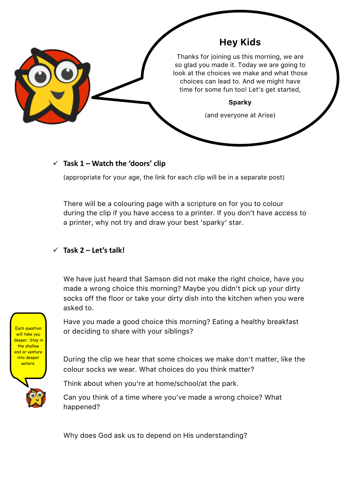

## $\checkmark$  Task 1 – Watch the 'doors' clip

(appropriate for your age, the link for each clip will be in a separate post)

There will be a colouring page with a scripture on for you to colour during the clip if you have access to a printer. If you don't have access to a printer, why not try and draw your best 'sparky' star.

## Task 2 – Let's talk!

We have just heard that Samson did not make the right choice, have you made a wrong choice this morning? Maybe you didn't pick up your dirty socks off the floor or take your dirty dish into the kitchen when you were asked to.

Have you made a good choice this morning? Eating a healthy breakfast or deciding to share with your siblings?

During the clip we hear that some choices we make don't matter, like the colour socks we wear. What choices do you think matter?

Think about when you're at home/school/at the park.

Can you think of a time where you've made a wrong choice? What happened?

Why does God ask us to depend on His understanding?

Each question will take you deeper. Stay in the shallow end or venture into deeper waters.